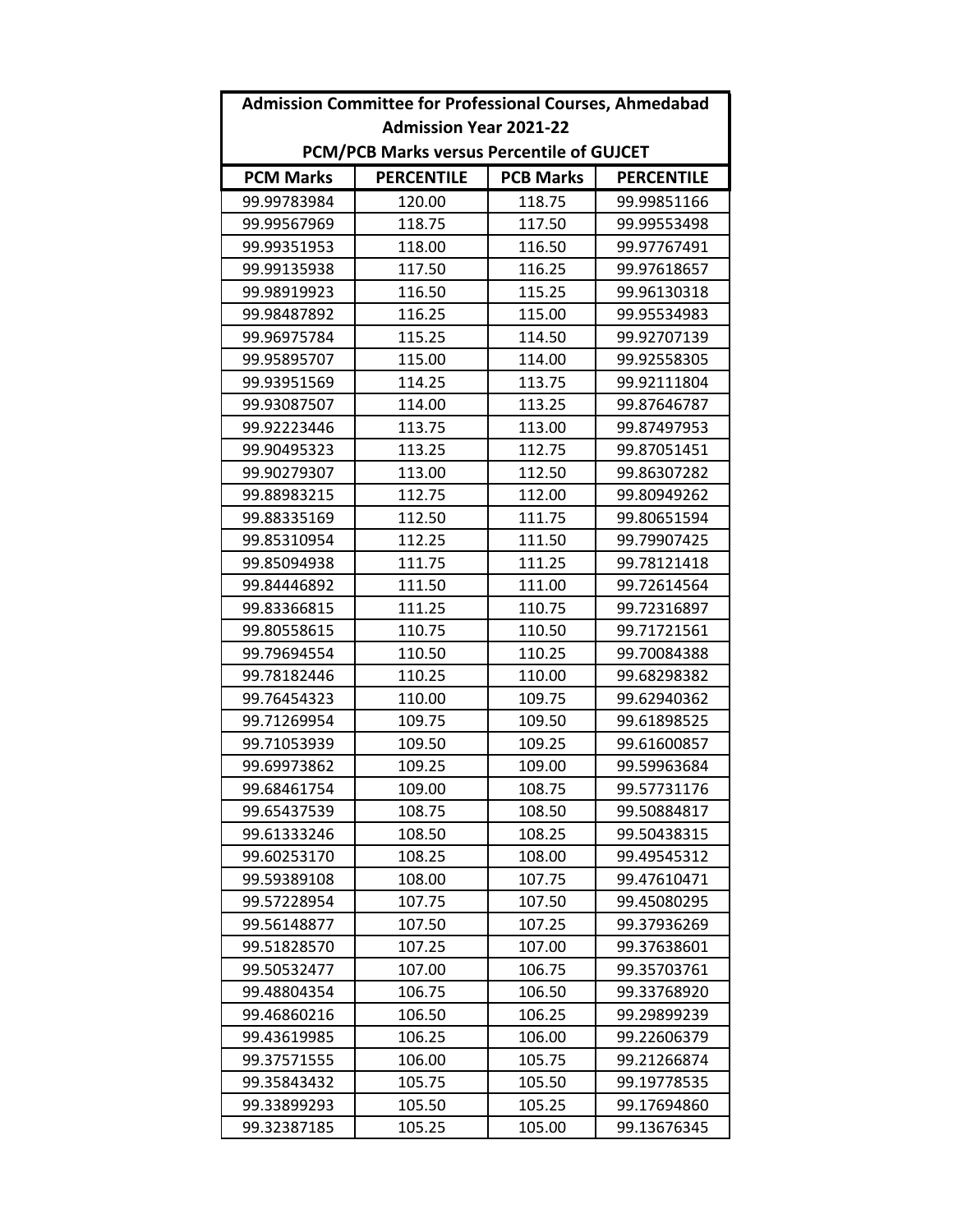| <b>Admission Committee for Professional Courses, Ahmedabad</b> |                   |                  |                   |
|----------------------------------------------------------------|-------------------|------------------|-------------------|
| <b>Admission Year 2021-22</b>                                  |                   |                  |                   |
| PCM/PCB Marks versus Percentile of GUJCET                      |                   |                  |                   |
| <b>PCM Marks</b>                                               | <b>PERCENTILE</b> | <b>PCB Marks</b> | <b>PERCENTILE</b> |
| 99.99783984                                                    | 120.00            | 118.75           | 99.99851166       |
| 99.99567969                                                    | 118.75            | 117.50           | 99.99553498       |
| 99.99351953                                                    | 118.00            | 116.50           | 99.97767491       |
| 99.99135938                                                    | 117.50            | 116.25           | 99.97618657       |
| 99.98919923                                                    | 116.50            | 115.25           | 99.96130318       |
| 99.98487892                                                    | 116.25            | 115.00           | 99.95534983       |
| 99.96975784                                                    | 115.25            | 114.50           | 99.92707139       |
| 99.95895707                                                    | 115.00            | 114.00           | 99.92558305       |
| 99.93951569                                                    | 114.25            | 113.75           | 99.92111804       |
| 99.93087507                                                    | 114.00            | 113.25           | 99.87646787       |
| 99.92223446                                                    | 113.75            | 113.00           | 99.87497953       |
| 99.90495323                                                    | 113.25            | 112.75           | 99.87051451       |
| 99.90279307                                                    | 113.00            | 112.50           | 99.86307282       |
| 99.88983215                                                    | 112.75            | 112.00           | 99.80949262       |
| 99.88335169                                                    | 112.50            | 111.75           | 99.80651594       |
| 99.85310954                                                    | 112.25            | 111.50           | 99.79907425       |
| 99.85094938                                                    | 111.75            | 111.25           | 99.78121418       |
| 99.84446892                                                    | 111.50            | 111.00           | 99.72614564       |
| 99.83366815                                                    | 111.25            | 110.75           | 99.72316897       |
| 99.80558615                                                    | 110.75            | 110.50           | 99.71721561       |
| 99.79694554                                                    | 110.50            | 110.25           | 99.70084388       |
| 99.78182446                                                    | 110.25            | 110.00           | 99.68298382       |
| 99.76454323                                                    | 110.00            | 109.75           | 99.62940362       |
| 99.71269954                                                    | 109.75            | 109.50           | 99.61898525       |
| 99.71053939                                                    | 109.50            | 109.25           | 99.61600857       |
| 99.69973862                                                    | 109.25            | 109.00           | 99.59963684       |
| 99.68461754                                                    | 109.00            | 108.75           | 99.57731176       |
| 99.65437539                                                    | 108.75            | 108.50           | 99.50884817       |
| 99.61333246                                                    | 108.50            | 108.25           | 99.50438315       |
| 99.60253170                                                    | 108.25            | 108.00           | 99.49545312       |
| 99.59389108                                                    | 108.00            | 107.75           | 99.47610471       |
| 99.57228954                                                    | 107.75            | 107.50           | 99.45080295       |
| 99.56148877                                                    | 107.50            | 107.25           | 99.37936269       |
| 99.51828570                                                    | 107.25            | 107.00           | 99.37638601       |
| 99.50532477                                                    | 107.00            | 106.75           | 99.35703761       |
| 99.48804354                                                    | 106.75            | 106.50           | 99.33768920       |
| 99.46860216                                                    | 106.50            | 106.25           | 99.29899239       |
| 99.43619985                                                    | 106.25            | 106.00           | 99.22606379       |
| 99.37571555                                                    | 106.00            | 105.75           | 99.21266874       |
| 99.35843432                                                    | 105.75            | 105.50           | 99.19778535       |
| 99.33899293                                                    | 105.50            | 105.25           | 99.17694860       |
| 99.32387185                                                    | 105.25            | 105.00           | 99.13676345       |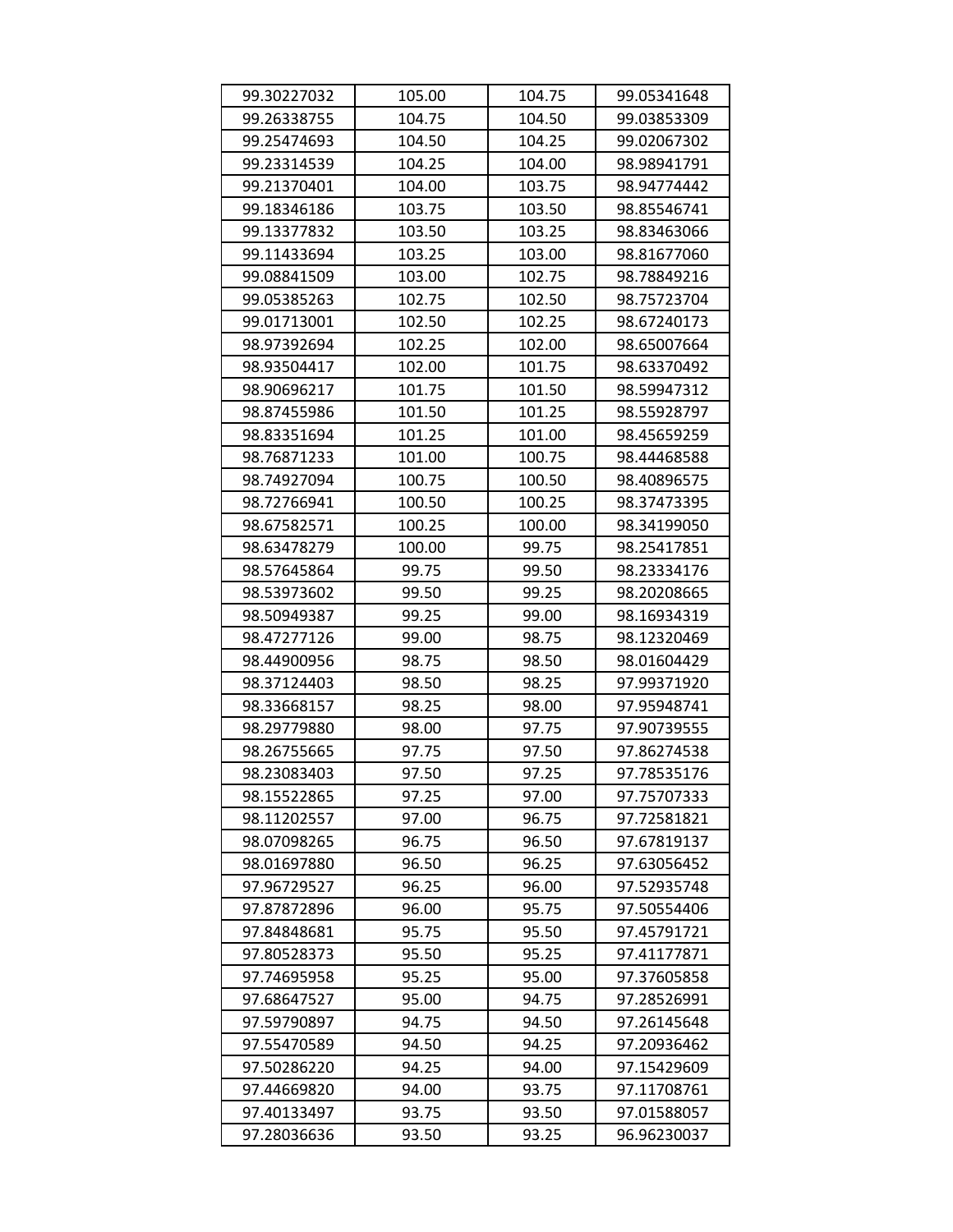| 99.30227032 | 105.00 | 104.75 | 99.05341648 |
|-------------|--------|--------|-------------|
| 99.26338755 | 104.75 | 104.50 | 99.03853309 |
| 99.25474693 | 104.50 | 104.25 | 99.02067302 |
| 99.23314539 | 104.25 | 104.00 | 98.98941791 |
| 99.21370401 | 104.00 | 103.75 | 98.94774442 |
| 99.18346186 | 103.75 | 103.50 | 98.85546741 |
| 99.13377832 | 103.50 | 103.25 | 98.83463066 |
| 99.11433694 | 103.25 | 103.00 | 98.81677060 |
| 99.08841509 | 103.00 | 102.75 | 98.78849216 |
| 99.05385263 | 102.75 | 102.50 | 98.75723704 |
| 99.01713001 | 102.50 | 102.25 | 98.67240173 |
| 98.97392694 | 102.25 | 102.00 | 98.65007664 |
| 98.93504417 | 102.00 | 101.75 | 98.63370492 |
| 98.90696217 | 101.75 | 101.50 | 98.59947312 |
| 98.87455986 | 101.50 | 101.25 | 98.55928797 |
| 98.83351694 | 101.25 | 101.00 | 98.45659259 |
| 98.76871233 | 101.00 | 100.75 | 98.44468588 |
| 98.74927094 | 100.75 | 100.50 | 98.40896575 |
| 98.72766941 | 100.50 | 100.25 | 98.37473395 |
| 98.67582571 | 100.25 | 100.00 | 98.34199050 |
| 98.63478279 | 100.00 | 99.75  | 98.25417851 |
| 98.57645864 | 99.75  | 99.50  | 98.23334176 |
| 98.53973602 | 99.50  | 99.25  | 98.20208665 |
| 98.50949387 | 99.25  | 99.00  | 98.16934319 |
| 98.47277126 | 99.00  | 98.75  | 98.12320469 |
| 98.44900956 | 98.75  | 98.50  | 98.01604429 |
| 98.37124403 | 98.50  | 98.25  | 97.99371920 |
| 98.33668157 | 98.25  | 98.00  | 97.95948741 |
| 98.29779880 | 98.00  | 97.75  | 97.90739555 |
| 98.26755665 | 97.75  | 97.50  | 97.86274538 |
| 98.23083403 | 97.50  | 97.25  | 97.78535176 |
| 98.15522865 | 97.25  | 97.00  | 97.75707333 |
| 98.11202557 | 97.00  | 96.75  | 97.72581821 |
| 98.07098265 | 96.75  | 96.50  | 97.67819137 |
| 98.01697880 | 96.50  | 96.25  | 97.63056452 |
| 97.96729527 | 96.25  | 96.00  | 97.52935748 |
| 97.87872896 | 96.00  | 95.75  | 97.50554406 |
| 97.84848681 | 95.75  | 95.50  | 97.45791721 |
| 97.80528373 | 95.50  | 95.25  | 97.41177871 |
| 97.74695958 | 95.25  | 95.00  | 97.37605858 |
| 97.68647527 | 95.00  | 94.75  | 97.28526991 |
| 97.59790897 | 94.75  | 94.50  | 97.26145648 |
| 97.55470589 | 94.50  | 94.25  | 97.20936462 |
| 97.50286220 | 94.25  | 94.00  | 97.15429609 |
| 97.44669820 | 94.00  | 93.75  | 97.11708761 |
| 97.40133497 | 93.75  | 93.50  | 97.01588057 |
| 97.28036636 | 93.50  | 93.25  | 96.96230037 |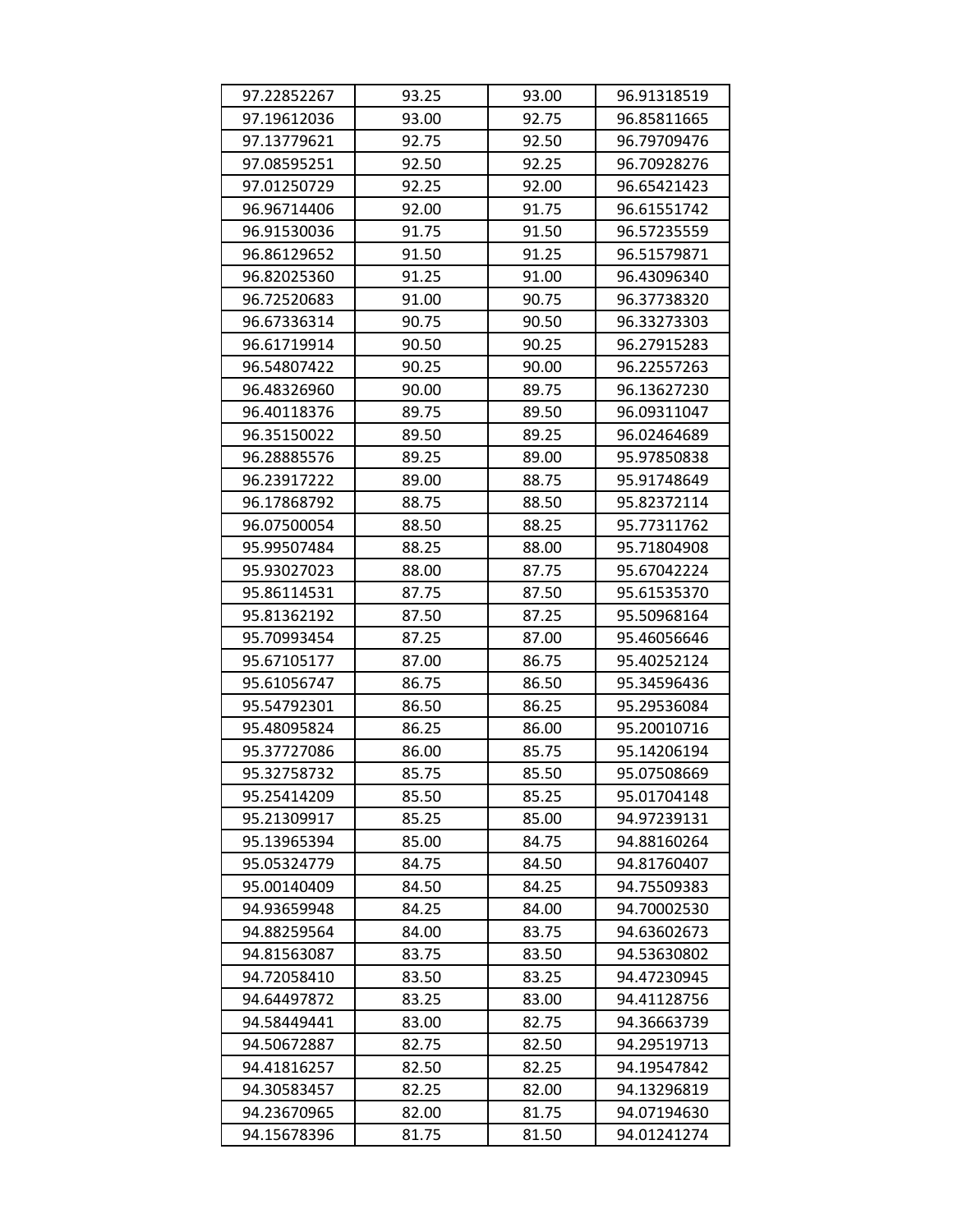| 97.22852267 | 93.25 | 93.00 | 96.91318519 |
|-------------|-------|-------|-------------|
| 97.19612036 | 93.00 | 92.75 | 96.85811665 |
| 97.13779621 | 92.75 | 92.50 | 96.79709476 |
| 97.08595251 | 92.50 | 92.25 | 96.70928276 |
| 97.01250729 | 92.25 | 92.00 | 96.65421423 |
| 96.96714406 | 92.00 | 91.75 | 96.61551742 |
| 96.91530036 | 91.75 | 91.50 | 96.57235559 |
| 96.86129652 | 91.50 | 91.25 | 96.51579871 |
| 96.82025360 | 91.25 | 91.00 | 96.43096340 |
| 96.72520683 | 91.00 | 90.75 | 96.37738320 |
| 96.67336314 | 90.75 | 90.50 | 96.33273303 |
| 96.61719914 | 90.50 | 90.25 | 96.27915283 |
| 96.54807422 | 90.25 | 90.00 | 96.22557263 |
| 96.48326960 | 90.00 | 89.75 | 96.13627230 |
| 96.40118376 | 89.75 | 89.50 | 96.09311047 |
| 96.35150022 | 89.50 | 89.25 | 96.02464689 |
| 96.28885576 | 89.25 | 89.00 | 95.97850838 |
| 96.23917222 | 89.00 | 88.75 | 95.91748649 |
| 96.17868792 | 88.75 | 88.50 | 95.82372114 |
| 96.07500054 | 88.50 | 88.25 | 95.77311762 |
| 95.99507484 | 88.25 | 88.00 | 95.71804908 |
| 95.93027023 | 88.00 | 87.75 | 95.67042224 |
| 95.86114531 | 87.75 | 87.50 | 95.61535370 |
| 95.81362192 | 87.50 | 87.25 | 95.50968164 |
| 95.70993454 | 87.25 | 87.00 | 95.46056646 |
| 95.67105177 | 87.00 | 86.75 | 95.40252124 |
| 95.61056747 | 86.75 | 86.50 | 95.34596436 |
| 95.54792301 | 86.50 | 86.25 | 95.29536084 |
| 95.48095824 | 86.25 | 86.00 | 95.20010716 |
| 95.37727086 | 86.00 | 85.75 | 95.14206194 |
| 95.32758732 | 85.75 | 85.50 | 95.07508669 |
| 95.25414209 | 85.50 | 85.25 | 95.01704148 |
| 95.21309917 | 85.25 | 85.00 | 94.97239131 |
| 95.13965394 | 85.00 | 84.75 | 94.88160264 |
| 95.05324779 | 84.75 | 84.50 | 94.81760407 |
| 95.00140409 | 84.50 | 84.25 | 94.75509383 |
| 94.93659948 | 84.25 | 84.00 | 94.70002530 |
| 94.88259564 | 84.00 | 83.75 | 94.63602673 |
| 94.81563087 | 83.75 | 83.50 | 94.53630802 |
| 94.72058410 | 83.50 | 83.25 | 94.47230945 |
| 94.64497872 | 83.25 | 83.00 | 94.41128756 |
| 94.58449441 | 83.00 | 82.75 | 94.36663739 |
| 94.50672887 | 82.75 | 82.50 | 94.29519713 |
| 94.41816257 | 82.50 | 82.25 | 94.19547842 |
| 94.30583457 | 82.25 | 82.00 | 94.13296819 |
| 94.23670965 | 82.00 | 81.75 | 94.07194630 |
| 94.15678396 | 81.75 | 81.50 | 94.01241274 |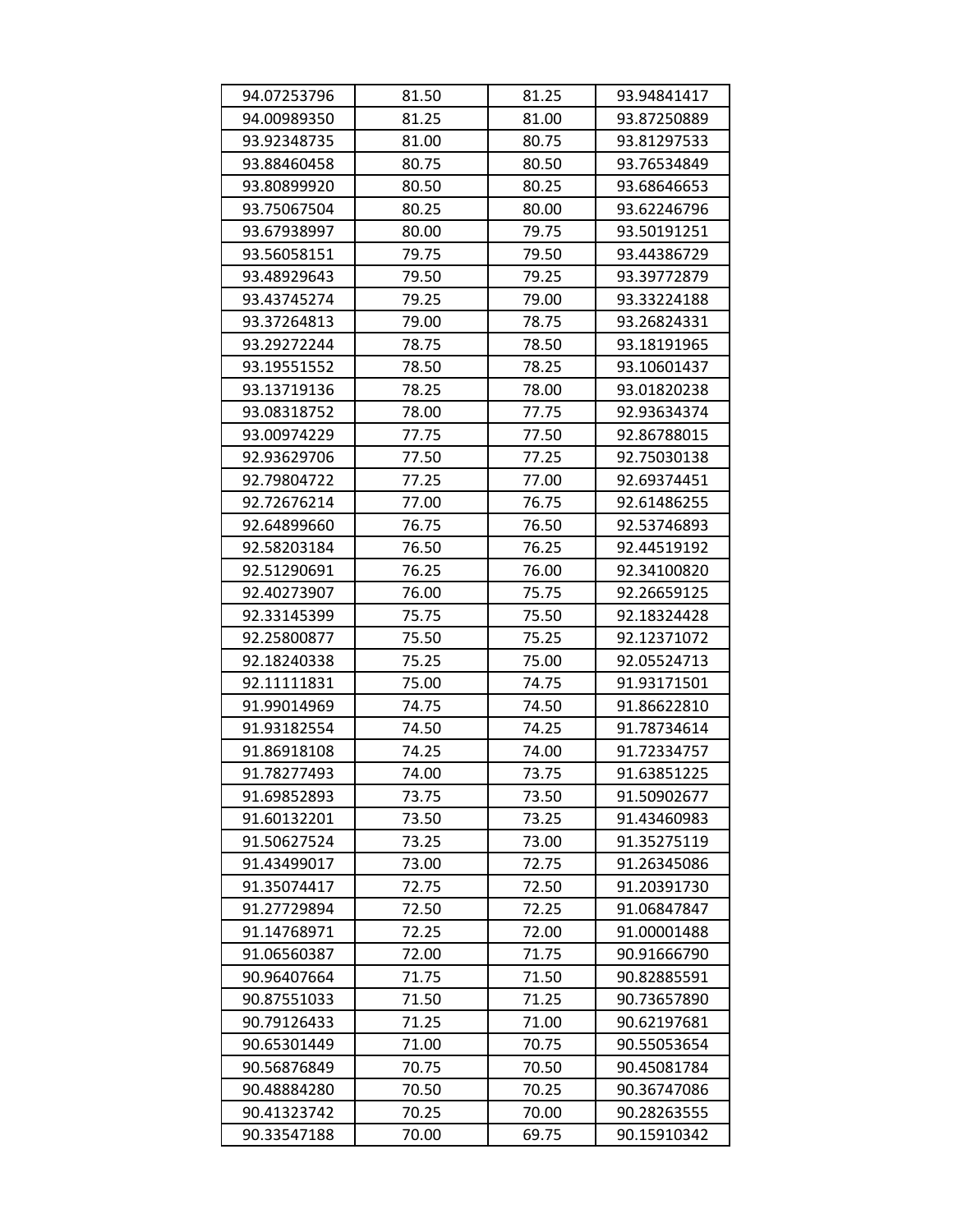| 94.07253796 | 81.50 | 81.25 | 93.94841417 |
|-------------|-------|-------|-------------|
| 94.00989350 | 81.25 | 81.00 | 93.87250889 |
| 93.92348735 | 81.00 | 80.75 | 93.81297533 |
| 93.88460458 | 80.75 | 80.50 | 93.76534849 |
| 93.80899920 | 80.50 | 80.25 | 93.68646653 |
| 93.75067504 | 80.25 | 80.00 | 93.62246796 |
| 93.67938997 | 80.00 | 79.75 | 93.50191251 |
| 93.56058151 | 79.75 | 79.50 | 93.44386729 |
| 93.48929643 | 79.50 | 79.25 | 93.39772879 |
| 93.43745274 | 79.25 | 79.00 | 93.33224188 |
| 93.37264813 | 79.00 | 78.75 | 93.26824331 |
| 93.29272244 | 78.75 | 78.50 | 93.18191965 |
| 93.19551552 | 78.50 | 78.25 | 93.10601437 |
| 93.13719136 | 78.25 | 78.00 | 93.01820238 |
| 93.08318752 | 78.00 | 77.75 | 92.93634374 |
| 93.00974229 | 77.75 | 77.50 | 92.86788015 |
| 92.93629706 | 77.50 | 77.25 | 92.75030138 |
| 92.79804722 | 77.25 | 77.00 | 92.69374451 |
| 92.72676214 | 77.00 | 76.75 | 92.61486255 |
| 92.64899660 | 76.75 | 76.50 | 92.53746893 |
| 92.58203184 | 76.50 | 76.25 | 92.44519192 |
| 92.51290691 | 76.25 | 76.00 | 92.34100820 |
| 92.40273907 | 76.00 | 75.75 | 92.26659125 |
| 92.33145399 | 75.75 | 75.50 | 92.18324428 |
| 92.25800877 | 75.50 | 75.25 | 92.12371072 |
| 92.18240338 | 75.25 | 75.00 | 92.05524713 |
| 92.11111831 | 75.00 | 74.75 | 91.93171501 |
| 91.99014969 | 74.75 | 74.50 | 91.86622810 |
| 91.93182554 | 74.50 | 74.25 | 91.78734614 |
| 91.86918108 | 74.25 | 74.00 | 91.72334757 |
| 91.78277493 | 74.00 | 73.75 | 91.63851225 |
| 91.69852893 | 73.75 | 73.50 | 91.50902677 |
| 91.60132201 | 73.50 | 73.25 | 91.43460983 |
| 91.50627524 | 73.25 | 73.00 | 91.35275119 |
| 91.43499017 | 73.00 | 72.75 | 91.26345086 |
| 91.35074417 | 72.75 | 72.50 | 91.20391730 |
| 91.27729894 | 72.50 | 72.25 | 91.06847847 |
| 91.14768971 | 72.25 | 72.00 | 91.00001488 |
| 91.06560387 | 72.00 | 71.75 | 90.91666790 |
| 90.96407664 | 71.75 | 71.50 | 90.82885591 |
| 90.87551033 | 71.50 | 71.25 | 90.73657890 |
| 90.79126433 | 71.25 | 71.00 | 90.62197681 |
| 90.65301449 | 71.00 | 70.75 | 90.55053654 |
| 90.56876849 | 70.75 | 70.50 | 90.45081784 |
| 90.48884280 | 70.50 | 70.25 | 90.36747086 |
| 90.41323742 | 70.25 | 70.00 | 90.28263555 |
| 90.33547188 | 70.00 | 69.75 | 90.15910342 |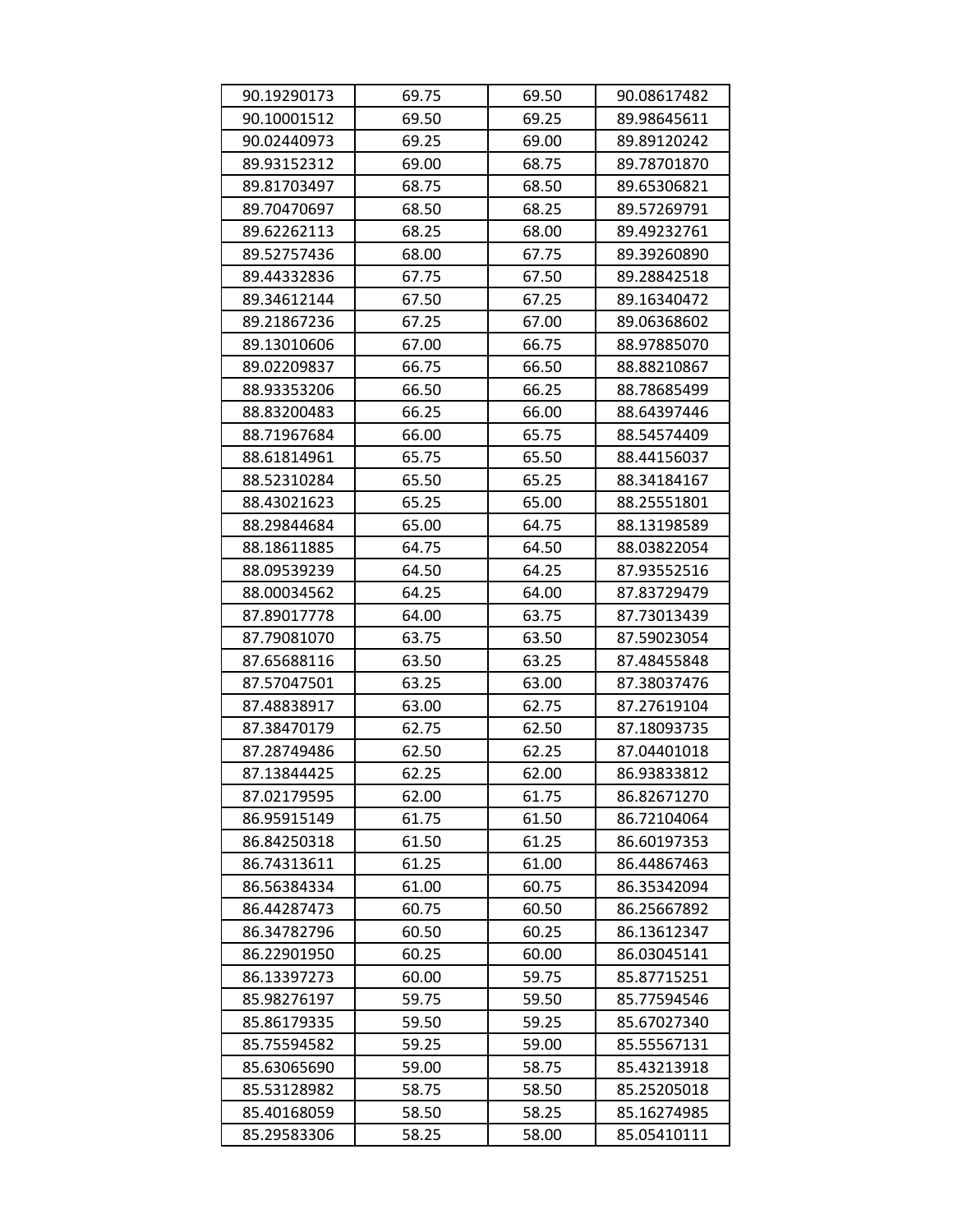| 90.19290173 | 69.75 | 69.50 | 90.08617482 |
|-------------|-------|-------|-------------|
| 90.10001512 | 69.50 | 69.25 | 89.98645611 |
| 90.02440973 | 69.25 | 69.00 | 89.89120242 |
| 89.93152312 | 69.00 | 68.75 | 89.78701870 |
| 89.81703497 | 68.75 | 68.50 | 89.65306821 |
| 89.70470697 | 68.50 | 68.25 | 89.57269791 |
| 89.62262113 | 68.25 | 68.00 | 89.49232761 |
| 89.52757436 | 68.00 | 67.75 | 89.39260890 |
| 89.44332836 | 67.75 | 67.50 | 89.28842518 |
| 89.34612144 | 67.50 | 67.25 | 89.16340472 |
| 89.21867236 | 67.25 | 67.00 | 89.06368602 |
| 89.13010606 | 67.00 | 66.75 | 88.97885070 |
| 89.02209837 | 66.75 | 66.50 | 88.88210867 |
| 88.93353206 | 66.50 | 66.25 | 88.78685499 |
| 88.83200483 | 66.25 | 66.00 | 88.64397446 |
| 88.71967684 | 66.00 | 65.75 | 88.54574409 |
| 88.61814961 | 65.75 | 65.50 | 88.44156037 |
| 88.52310284 | 65.50 | 65.25 | 88.34184167 |
| 88.43021623 | 65.25 | 65.00 | 88.25551801 |
| 88.29844684 | 65.00 | 64.75 | 88.13198589 |
| 88.18611885 | 64.75 | 64.50 | 88.03822054 |
| 88.09539239 | 64.50 | 64.25 | 87.93552516 |
| 88.00034562 | 64.25 | 64.00 | 87.83729479 |
| 87.89017778 | 64.00 | 63.75 | 87.73013439 |
| 87.79081070 | 63.75 | 63.50 | 87.59023054 |
| 87.65688116 | 63.50 | 63.25 | 87.48455848 |
| 87.57047501 | 63.25 | 63.00 | 87.38037476 |
| 87.48838917 | 63.00 | 62.75 | 87.27619104 |
| 87.38470179 | 62.75 | 62.50 | 87.18093735 |
| 87.28749486 | 62.50 | 62.25 | 87.04401018 |
| 87.13844425 | 62.25 | 62.00 | 86.93833812 |
| 87.02179595 | 62.00 | 61.75 | 86.82671270 |
| 86.95915149 | 61.75 | 61.50 | 86.72104064 |
| 86.84250318 | 61.50 | 61.25 | 86.60197353 |
| 86.74313611 | 61.25 | 61.00 | 86.44867463 |
| 86.56384334 | 61.00 | 60.75 | 86.35342094 |
| 86.44287473 | 60.75 | 60.50 | 86.25667892 |
| 86.34782796 | 60.50 | 60.25 | 86.13612347 |
| 86.22901950 | 60.25 | 60.00 | 86.03045141 |
| 86.13397273 | 60.00 | 59.75 | 85.87715251 |
| 85.98276197 | 59.75 | 59.50 | 85.77594546 |
| 85.86179335 | 59.50 | 59.25 | 85.67027340 |
| 85.75594582 | 59.25 | 59.00 | 85.55567131 |
| 85.63065690 | 59.00 | 58.75 | 85.43213918 |
| 85.53128982 | 58.75 | 58.50 | 85.25205018 |
| 85.40168059 | 58.50 | 58.25 | 85.16274985 |
| 85.29583306 | 58.25 | 58.00 | 85.05410111 |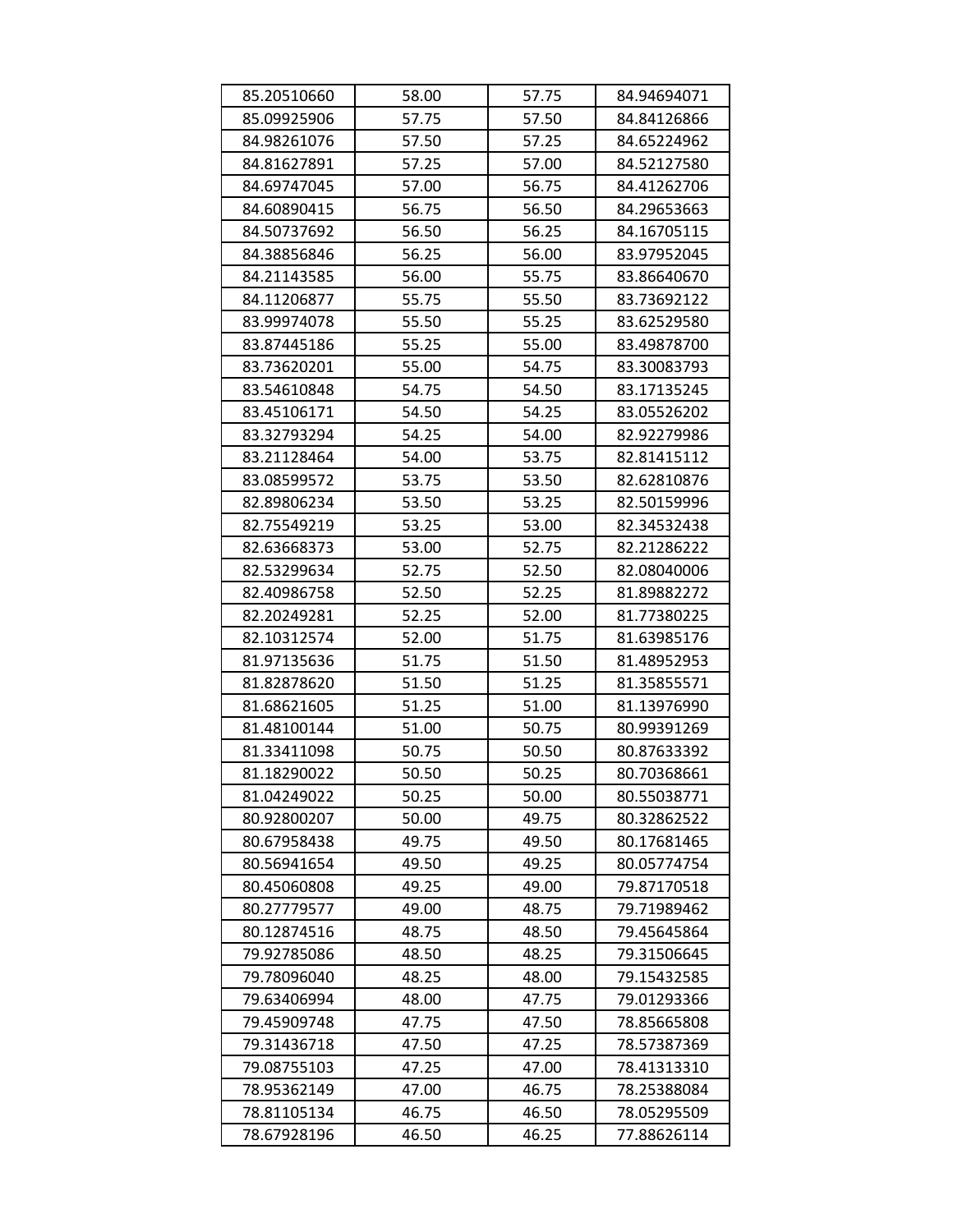| 85.20510660 | 58.00 | 57.75 | 84.94694071 |
|-------------|-------|-------|-------------|
| 85.09925906 | 57.75 | 57.50 | 84.84126866 |
| 84.98261076 | 57.50 | 57.25 | 84.65224962 |
| 84.81627891 | 57.25 | 57.00 | 84.52127580 |
| 84.69747045 | 57.00 | 56.75 | 84.41262706 |
| 84.60890415 | 56.75 | 56.50 | 84.29653663 |
| 84.50737692 | 56.50 | 56.25 | 84.16705115 |
| 84.38856846 | 56.25 | 56.00 | 83.97952045 |
| 84.21143585 | 56.00 | 55.75 | 83.86640670 |
| 84.11206877 | 55.75 | 55.50 | 83.73692122 |
| 83.99974078 | 55.50 | 55.25 | 83.62529580 |
| 83.87445186 | 55.25 | 55.00 | 83.49878700 |
| 83.73620201 | 55.00 | 54.75 | 83.30083793 |
| 83.54610848 | 54.75 | 54.50 | 83.17135245 |
| 83.45106171 | 54.50 | 54.25 | 83.05526202 |
| 83.32793294 | 54.25 | 54.00 | 82.92279986 |
| 83.21128464 | 54.00 | 53.75 | 82.81415112 |
| 83.08599572 | 53.75 | 53.50 | 82.62810876 |
| 82.89806234 | 53.50 | 53.25 | 82.50159996 |
| 82.75549219 | 53.25 | 53.00 | 82.34532438 |
| 82.63668373 | 53.00 | 52.75 | 82.21286222 |
| 82.53299634 | 52.75 | 52.50 | 82.08040006 |
| 82.40986758 | 52.50 | 52.25 | 81.89882272 |
| 82.20249281 | 52.25 | 52.00 | 81.77380225 |
| 82.10312574 | 52.00 | 51.75 | 81.63985176 |
| 81.97135636 | 51.75 | 51.50 | 81.48952953 |
| 81.82878620 | 51.50 | 51.25 | 81.35855571 |
| 81.68621605 | 51.25 | 51.00 | 81.13976990 |
| 81.48100144 | 51.00 | 50.75 | 80.99391269 |
| 81.33411098 | 50.75 | 50.50 | 80.87633392 |
| 81.18290022 | 50.50 | 50.25 | 80.70368661 |
| 81.04249022 | 50.25 | 50.00 | 80.55038771 |
| 80.92800207 | 50.00 | 49.75 | 80.32862522 |
| 80.67958438 | 49.75 | 49.50 | 80.17681465 |
| 80.56941654 | 49.50 | 49.25 | 80.05774754 |
| 80.45060808 | 49.25 | 49.00 | 79.87170518 |
| 80.27779577 | 49.00 | 48.75 | 79.71989462 |
| 80.12874516 | 48.75 | 48.50 | 79.45645864 |
| 79.92785086 | 48.50 | 48.25 | 79.31506645 |
| 79.78096040 | 48.25 | 48.00 | 79.15432585 |
| 79.63406994 | 48.00 | 47.75 | 79.01293366 |
| 79.45909748 | 47.75 | 47.50 | 78.85665808 |
| 79.31436718 | 47.50 | 47.25 | 78.57387369 |
| 79.08755103 | 47.25 | 47.00 | 78.41313310 |
| 78.95362149 | 47.00 | 46.75 | 78.25388084 |
| 78.81105134 | 46.75 | 46.50 | 78.05295509 |
| 78.67928196 | 46.50 | 46.25 | 77.88626114 |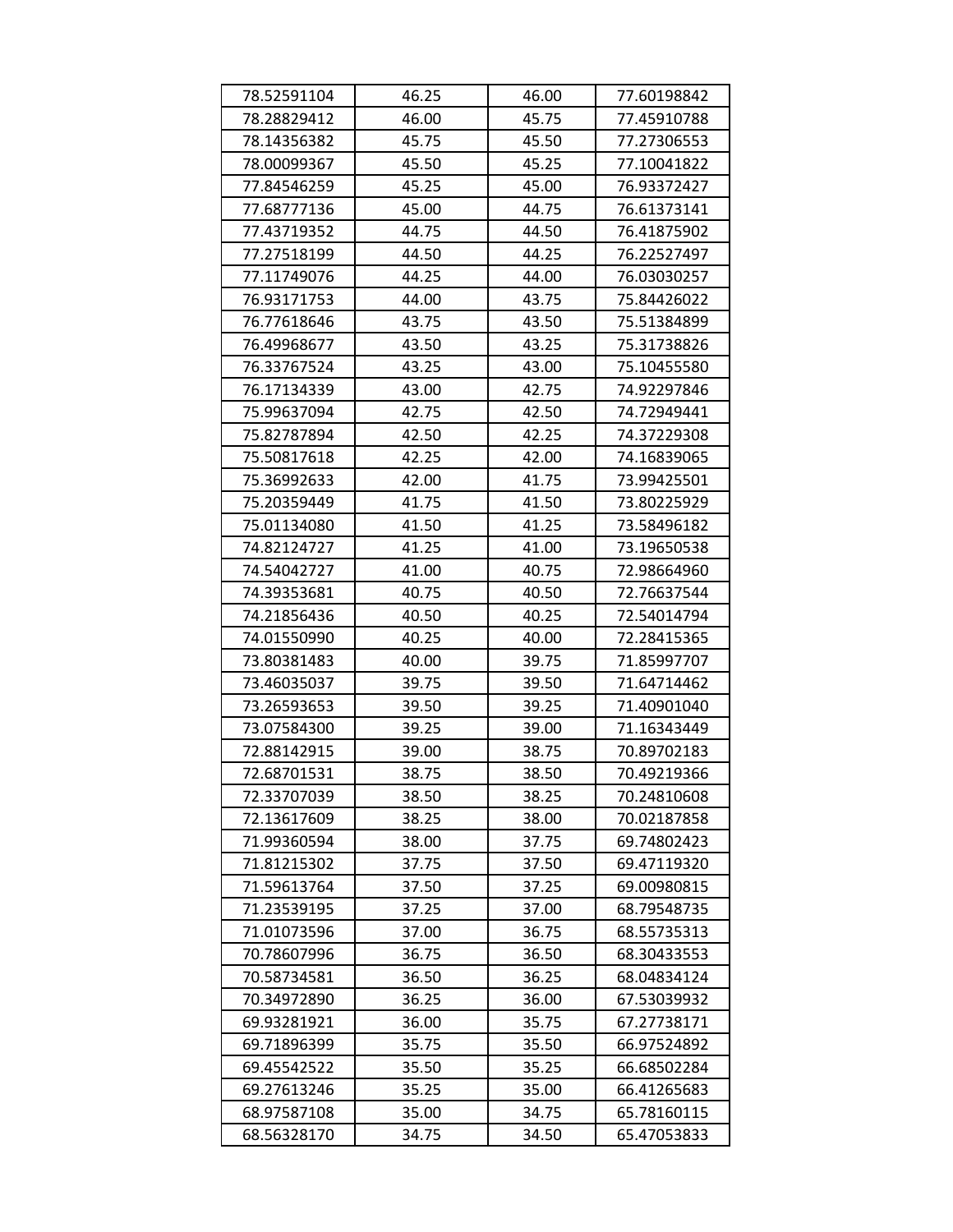| 78.52591104 | 46.25 | 46.00 | 77.60198842 |
|-------------|-------|-------|-------------|
| 78.28829412 | 46.00 | 45.75 | 77.45910788 |
| 78.14356382 | 45.75 | 45.50 | 77.27306553 |
| 78.00099367 | 45.50 | 45.25 | 77.10041822 |
| 77.84546259 | 45.25 | 45.00 | 76.93372427 |
| 77.68777136 | 45.00 | 44.75 | 76.61373141 |
| 77.43719352 | 44.75 | 44.50 | 76.41875902 |
| 77.27518199 | 44.50 | 44.25 | 76.22527497 |
| 77.11749076 | 44.25 | 44.00 | 76.03030257 |
| 76.93171753 | 44.00 | 43.75 | 75.84426022 |
| 76.77618646 | 43.75 | 43.50 | 75.51384899 |
| 76.49968677 | 43.50 | 43.25 | 75.31738826 |
| 76.33767524 | 43.25 | 43.00 | 75.10455580 |
| 76.17134339 | 43.00 | 42.75 | 74.92297846 |
| 75.99637094 | 42.75 | 42.50 | 74.72949441 |
| 75.82787894 | 42.50 | 42.25 | 74.37229308 |
| 75.50817618 | 42.25 | 42.00 | 74.16839065 |
| 75.36992633 | 42.00 | 41.75 | 73.99425501 |
| 75.20359449 | 41.75 | 41.50 | 73.80225929 |
| 75.01134080 | 41.50 | 41.25 | 73.58496182 |
| 74.82124727 | 41.25 | 41.00 | 73.19650538 |
| 74.54042727 | 41.00 | 40.75 | 72.98664960 |
| 74.39353681 | 40.75 | 40.50 | 72.76637544 |
| 74.21856436 | 40.50 | 40.25 | 72.54014794 |
| 74.01550990 | 40.25 | 40.00 | 72.28415365 |
| 73.80381483 | 40.00 | 39.75 | 71.85997707 |
| 73.46035037 | 39.75 | 39.50 | 71.64714462 |
| 73.26593653 | 39.50 | 39.25 | 71.40901040 |
| 73.07584300 | 39.25 | 39.00 | 71.16343449 |
| 72.88142915 | 39.00 | 38.75 | 70.89702183 |
| 72.68701531 | 38.75 | 38.50 | 70.49219366 |
| 72.33707039 | 38.50 | 38.25 | 70.24810608 |
| 72.13617609 | 38.25 | 38.00 | 70.02187858 |
| 71.99360594 | 38.00 | 37.75 | 69.74802423 |
| 71.81215302 | 37.75 | 37.50 | 69.47119320 |
| 71.59613764 | 37.50 | 37.25 | 69.00980815 |
| 71.23539195 | 37.25 | 37.00 | 68.79548735 |
| 71.01073596 | 37.00 | 36.75 | 68.55735313 |
| 70.78607996 | 36.75 | 36.50 | 68.30433553 |
| 70.58734581 | 36.50 | 36.25 | 68.04834124 |
| 70.34972890 | 36.25 | 36.00 | 67.53039932 |
| 69.93281921 | 36.00 | 35.75 | 67.27738171 |
| 69.71896399 | 35.75 | 35.50 | 66.97524892 |
| 69.45542522 | 35.50 | 35.25 | 66.68502284 |
| 69.27613246 | 35.25 | 35.00 | 66.41265683 |
| 68.97587108 | 35.00 | 34.75 | 65.78160115 |
| 68.56328170 | 34.75 | 34.50 | 65.47053833 |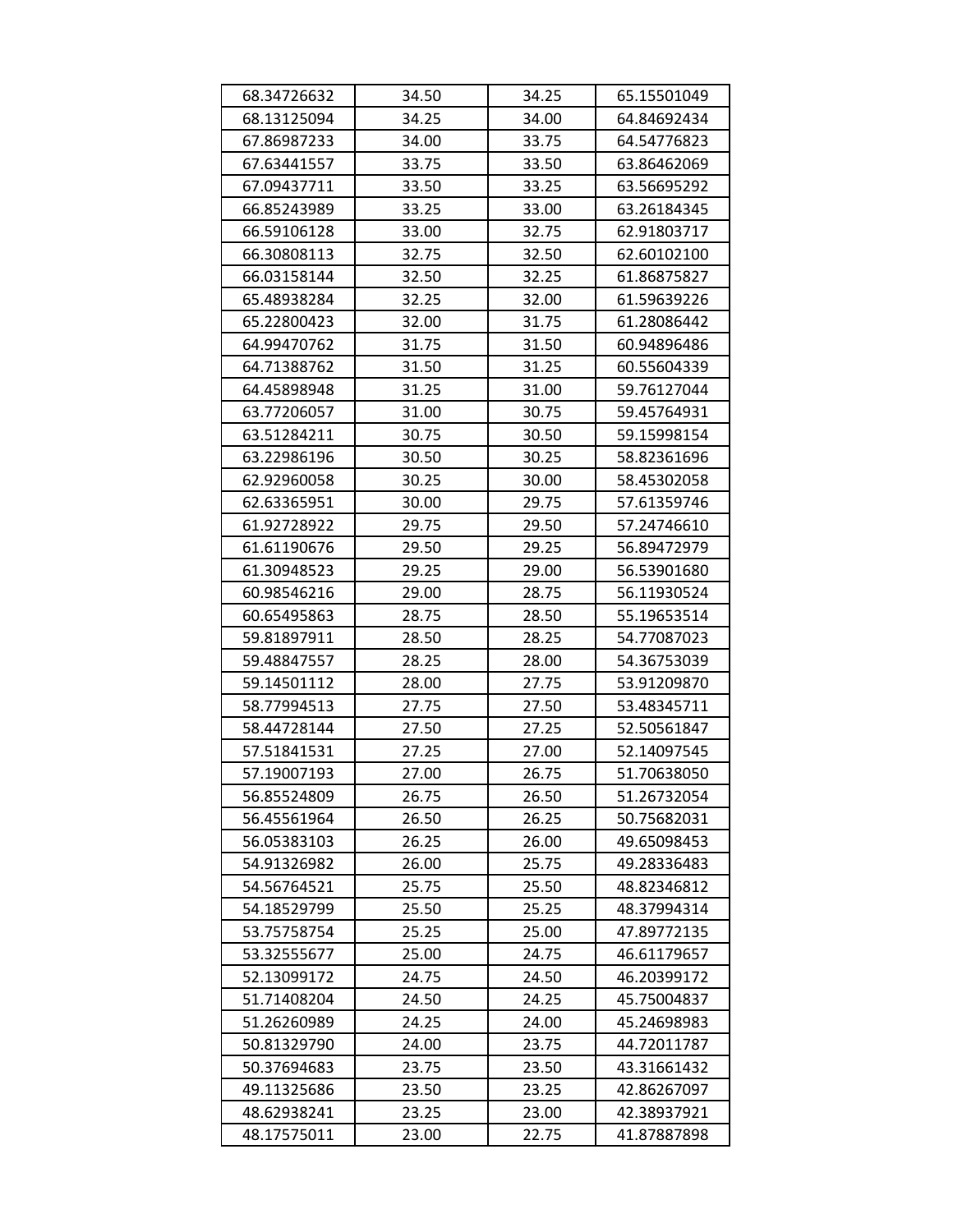| 68.34726632 | 34.50 | 34.25 | 65.15501049 |
|-------------|-------|-------|-------------|
| 68.13125094 | 34.25 | 34.00 | 64.84692434 |
| 67.86987233 | 34.00 | 33.75 | 64.54776823 |
| 67.63441557 | 33.75 | 33.50 | 63.86462069 |
| 67.09437711 | 33.50 | 33.25 | 63.56695292 |
| 66.85243989 | 33.25 | 33.00 | 63.26184345 |
| 66.59106128 | 33.00 | 32.75 | 62.91803717 |
| 66.30808113 | 32.75 | 32.50 | 62.60102100 |
| 66.03158144 | 32.50 | 32.25 | 61.86875827 |
| 65.48938284 | 32.25 | 32.00 | 61.59639226 |
| 65.22800423 | 32.00 | 31.75 | 61.28086442 |
| 64.99470762 | 31.75 | 31.50 | 60.94896486 |
| 64.71388762 | 31.50 | 31.25 | 60.55604339 |
| 64.45898948 | 31.25 | 31.00 | 59.76127044 |
| 63.77206057 | 31.00 | 30.75 | 59.45764931 |
| 63.51284211 | 30.75 | 30.50 | 59.15998154 |
| 63.22986196 | 30.50 | 30.25 | 58.82361696 |
| 62.92960058 | 30.25 | 30.00 | 58.45302058 |
| 62.63365951 | 30.00 | 29.75 | 57.61359746 |
| 61.92728922 | 29.75 | 29.50 | 57.24746610 |
| 61.61190676 | 29.50 | 29.25 | 56.89472979 |
| 61.30948523 | 29.25 | 29.00 | 56.53901680 |
| 60.98546216 | 29.00 | 28.75 | 56.11930524 |
| 60.65495863 | 28.75 | 28.50 | 55.19653514 |
| 59.81897911 | 28.50 | 28.25 | 54.77087023 |
| 59.48847557 | 28.25 | 28.00 | 54.36753039 |
| 59.14501112 | 28.00 | 27.75 | 53.91209870 |
| 58.77994513 | 27.75 | 27.50 | 53.48345711 |
| 58.44728144 | 27.50 | 27.25 | 52.50561847 |
| 57.51841531 | 27.25 | 27.00 | 52.14097545 |
| 57.19007193 | 27.00 | 26.75 | 51.70638050 |
| 56.85524809 | 26.75 | 26.50 | 51.26732054 |
| 56.45561964 | 26.50 | 26.25 | 50.75682031 |
| 56.05383103 | 26.25 | 26.00 | 49.65098453 |
| 54.91326982 | 26.00 | 25.75 | 49.28336483 |
| 54.56764521 | 25.75 | 25.50 | 48.82346812 |
| 54.18529799 | 25.50 | 25.25 | 48.37994314 |
| 53.75758754 | 25.25 | 25.00 | 47.89772135 |
| 53.32555677 | 25.00 | 24.75 | 46.61179657 |
| 52.13099172 | 24.75 | 24.50 | 46.20399172 |
| 51.71408204 | 24.50 | 24.25 | 45.75004837 |
| 51.26260989 | 24.25 | 24.00 | 45.24698983 |
| 50.81329790 | 24.00 | 23.75 | 44.72011787 |
| 50.37694683 | 23.75 | 23.50 | 43.31661432 |
| 49.11325686 | 23.50 | 23.25 | 42.86267097 |
| 48.62938241 | 23.25 | 23.00 | 42.38937921 |
| 48.17575011 | 23.00 | 22.75 | 41.87887898 |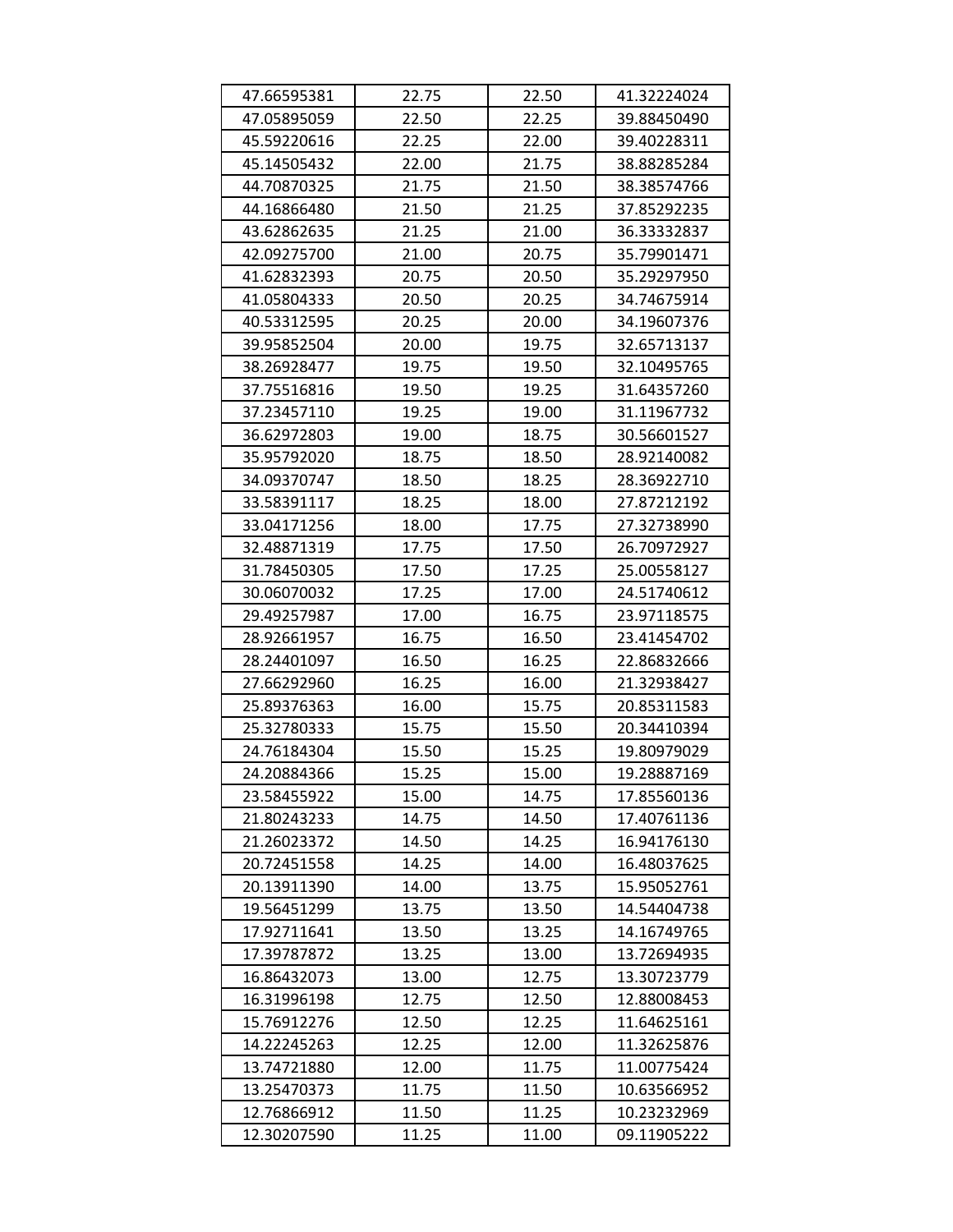| 47.66595381 | 22.75 | 22.50 | 41.32224024 |
|-------------|-------|-------|-------------|
| 47.05895059 | 22.50 | 22.25 | 39.88450490 |
| 45.59220616 | 22.25 | 22.00 | 39.40228311 |
| 45.14505432 | 22.00 | 21.75 | 38.88285284 |
| 44.70870325 | 21.75 | 21.50 | 38.38574766 |
| 44.16866480 | 21.50 | 21.25 | 37.85292235 |
| 43.62862635 | 21.25 | 21.00 | 36.33332837 |
| 42.09275700 | 21.00 | 20.75 | 35.79901471 |
| 41.62832393 | 20.75 | 20.50 | 35.29297950 |
| 41.05804333 | 20.50 | 20.25 | 34.74675914 |
| 40.53312595 | 20.25 | 20.00 | 34.19607376 |
| 39.95852504 | 20.00 | 19.75 | 32.65713137 |
| 38.26928477 | 19.75 | 19.50 | 32.10495765 |
| 37.75516816 | 19.50 | 19.25 | 31.64357260 |
| 37.23457110 | 19.25 | 19.00 | 31.11967732 |
| 36.62972803 | 19.00 | 18.75 | 30.56601527 |
| 35.95792020 | 18.75 | 18.50 | 28.92140082 |
| 34.09370747 | 18.50 | 18.25 | 28.36922710 |
| 33.58391117 | 18.25 | 18.00 | 27.87212192 |
| 33.04171256 | 18.00 | 17.75 | 27.32738990 |
| 32.48871319 | 17.75 | 17.50 | 26.70972927 |
| 31.78450305 | 17.50 | 17.25 | 25.00558127 |
| 30.06070032 | 17.25 | 17.00 | 24.51740612 |
| 29.49257987 | 17.00 | 16.75 | 23.97118575 |
| 28.92661957 | 16.75 | 16.50 | 23.41454702 |
| 28.24401097 | 16.50 | 16.25 | 22.86832666 |
| 27.66292960 | 16.25 | 16.00 | 21.32938427 |
| 25.89376363 | 16.00 | 15.75 | 20.85311583 |
| 25.32780333 | 15.75 | 15.50 | 20.34410394 |
| 24.76184304 | 15.50 | 15.25 | 19.80979029 |
| 24.20884366 | 15.25 | 15.00 | 19.28887169 |
| 23.58455922 | 15.00 | 14.75 | 17.85560136 |
| 21.80243233 | 14.75 | 14.50 | 17.40761136 |
| 21.26023372 | 14.50 | 14.25 | 16.94176130 |
| 20.72451558 | 14.25 | 14.00 | 16.48037625 |
| 20.13911390 | 14.00 | 13.75 | 15.95052761 |
| 19.56451299 | 13.75 | 13.50 | 14.54404738 |
| 17.92711641 | 13.50 | 13.25 | 14.16749765 |
| 17.39787872 | 13.25 | 13.00 | 13.72694935 |
| 16.86432073 | 13.00 | 12.75 | 13.30723779 |
| 16.31996198 | 12.75 | 12.50 | 12.88008453 |
| 15.76912276 | 12.50 | 12.25 | 11.64625161 |
| 14.22245263 | 12.25 | 12.00 | 11.32625876 |
| 13.74721880 | 12.00 | 11.75 | 11.00775424 |
| 13.25470373 | 11.75 | 11.50 | 10.63566952 |
| 12.76866912 | 11.50 | 11.25 | 10.23232969 |
| 12.30207590 | 11.25 | 11.00 | 09.11905222 |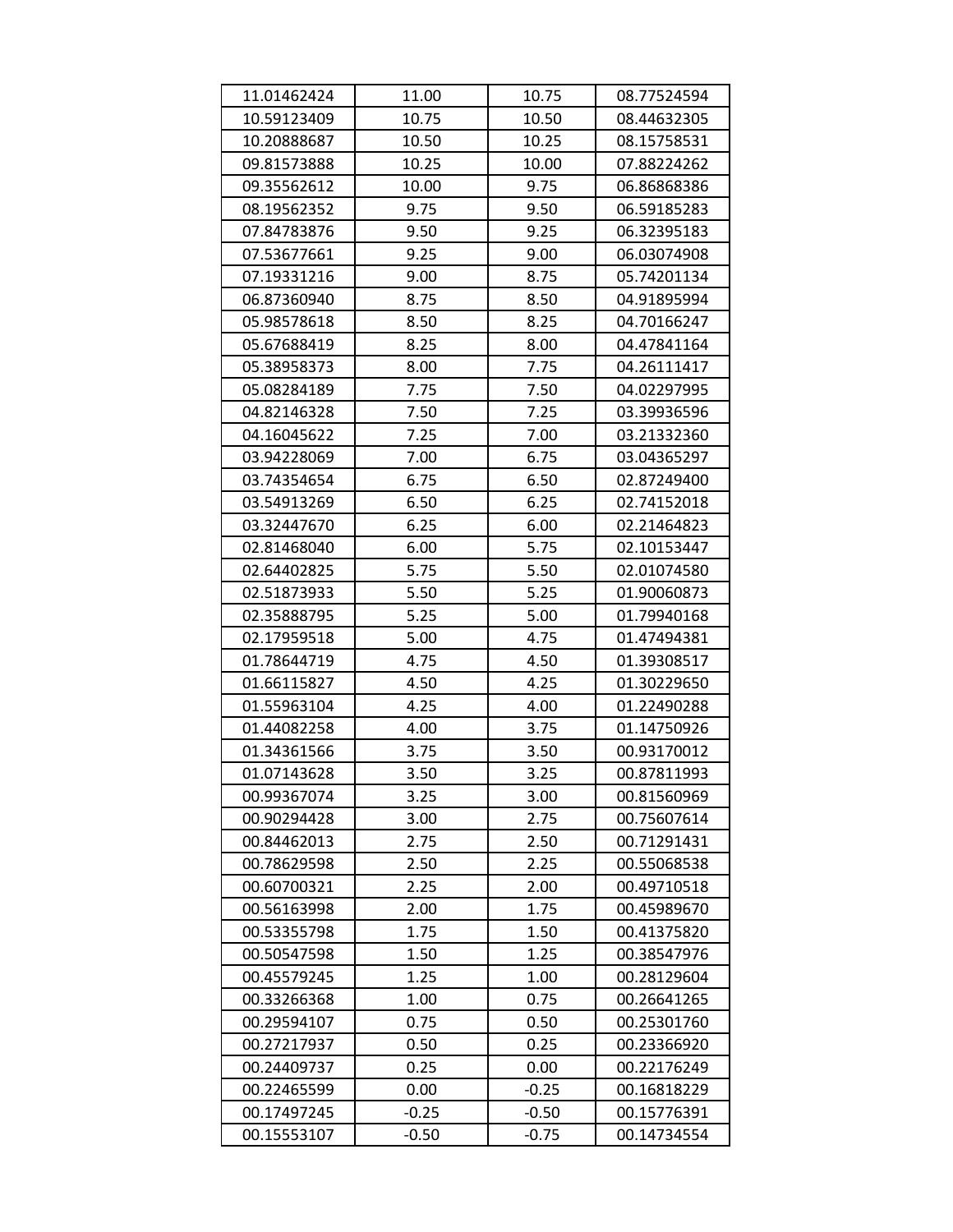| 11.01462424 | 11.00   | 10.75   | 08.77524594 |
|-------------|---------|---------|-------------|
| 10.59123409 | 10.75   | 10.50   | 08.44632305 |
| 10.20888687 | 10.50   | 10.25   | 08.15758531 |
| 09.81573888 | 10.25   | 10.00   | 07.88224262 |
| 09.35562612 | 10.00   | 9.75    | 06.86868386 |
| 08.19562352 | 9.75    | 9.50    | 06.59185283 |
| 07.84783876 | 9.50    | 9.25    | 06.32395183 |
| 07.53677661 | 9.25    | 9.00    | 06.03074908 |
| 07.19331216 | 9.00    | 8.75    | 05.74201134 |
| 06.87360940 | 8.75    | 8.50    | 04.91895994 |
| 05.98578618 | 8.50    | 8.25    | 04.70166247 |
| 05.67688419 | 8.25    | 8.00    | 04.47841164 |
| 05.38958373 | 8.00    | 7.75    | 04.26111417 |
| 05.08284189 | 7.75    | 7.50    | 04.02297995 |
| 04.82146328 | 7.50    | 7.25    | 03.39936596 |
| 04.16045622 | 7.25    | 7.00    | 03.21332360 |
| 03.94228069 | 7.00    | 6.75    | 03.04365297 |
| 03.74354654 | 6.75    | 6.50    | 02.87249400 |
| 03.54913269 | 6.50    | 6.25    | 02.74152018 |
| 03.32447670 | 6.25    | 6.00    | 02.21464823 |
| 02.81468040 | 6.00    | 5.75    | 02.10153447 |
| 02.64402825 | 5.75    | 5.50    | 02.01074580 |
| 02.51873933 | 5.50    | 5.25    | 01.90060873 |
| 02.35888795 | 5.25    | 5.00    | 01.79940168 |
| 02.17959518 | 5.00    | 4.75    | 01.47494381 |
| 01.78644719 | 4.75    | 4.50    | 01.39308517 |
| 01.66115827 | 4.50    | 4.25    | 01.30229650 |
| 01.55963104 | 4.25    | 4.00    | 01.22490288 |
| 01.44082258 | 4.00    | 3.75    | 01.14750926 |
| 01.34361566 | 3.75    | 3.50    | 00.93170012 |
| 01.07143628 | 3.50    | 3.25    | 00.87811993 |
| 00.99367074 | 3.25    | 3.00    | 00.81560969 |
| 00.90294428 | 3.00    | 2.75    | 00.75607614 |
| 00.84462013 | 2.75    | 2.50    | 00.71291431 |
| 00.78629598 | 2.50    | 2.25    | 00.55068538 |
| 00.60700321 | 2.25    | 2.00    | 00.49710518 |
| 00.56163998 | 2.00    | 1.75    | 00.45989670 |
| 00.53355798 | 1.75    | 1.50    | 00.41375820 |
| 00.50547598 | 1.50    | 1.25    | 00.38547976 |
| 00.45579245 | 1.25    | 1.00    | 00.28129604 |
| 00.33266368 | 1.00    | 0.75    | 00.26641265 |
| 00.29594107 | 0.75    | 0.50    | 00.25301760 |
| 00.27217937 | 0.50    | 0.25    | 00.23366920 |
| 00.24409737 | 0.25    | 0.00    | 00.22176249 |
| 00.22465599 | 0.00    | $-0.25$ | 00.16818229 |
| 00.17497245 | $-0.25$ | $-0.50$ | 00.15776391 |
| 00.15553107 | $-0.50$ | $-0.75$ | 00.14734554 |